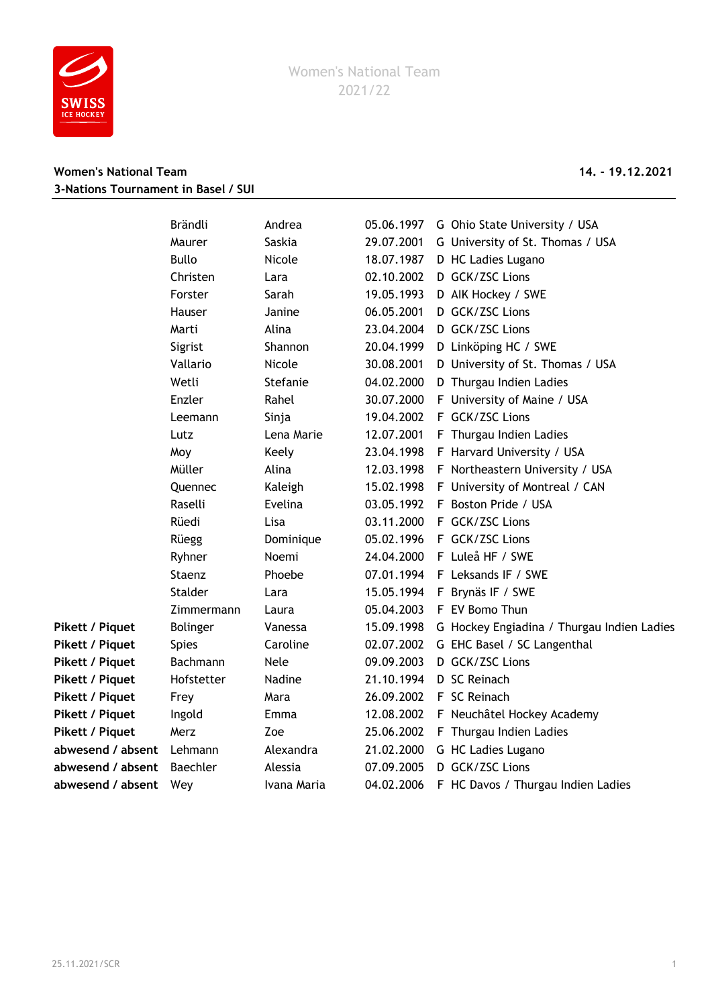

## **Women's National Team 14. - 19.12.2021 3-Nations Tournament in Basel / SUI**

|                   | Brändli       | Andrea      | 05.06.1997 | G Ohio State University / USA              |
|-------------------|---------------|-------------|------------|--------------------------------------------|
|                   | Maurer        | Saskia      | 29.07.2001 | G University of St. Thomas / USA           |
|                   | <b>Bullo</b>  | Nicole      | 18.07.1987 | D HC Ladies Lugano                         |
|                   | Christen      | Lara        | 02.10.2002 | D GCK/ZSC Lions                            |
|                   | Forster       | Sarah       | 19.05.1993 | D AIK Hockey / SWE                         |
|                   | <b>Hauser</b> | Janine      | 06.05.2001 | D GCK/ZSC Lions                            |
|                   | Marti         | Alina       | 23.04.2004 | D GCK/ZSC Lions                            |
|                   | Sigrist       | Shannon     | 20.04.1999 | D Linköping HC / SWE                       |
|                   | Vallario      | Nicole      | 30.08.2001 | D University of St. Thomas / USA           |
|                   | Wetli         | Stefanie    | 04.02.2000 | D Thurgau Indien Ladies                    |
|                   | Enzler        | Rahel       | 30.07.2000 | F University of Maine / USA                |
|                   | Leemann       | Sinja       | 19.04.2002 | F GCK/ZSC Lions                            |
|                   | Lutz          | Lena Marie  | 12.07.2001 | F Thurgau Indien Ladies                    |
|                   | Moy           | Keely       | 23.04.1998 | F Harvard University / USA                 |
|                   | Müller        | Alina       | 12.03.1998 | F Northeastern University / USA            |
|                   | Quennec       | Kaleigh     | 15.02.1998 | F University of Montreal / CAN             |
|                   | Raselli       | Evelina     | 03.05.1992 | F Boston Pride / USA                       |
|                   | Rüedi         | Lisa        | 03.11.2000 | F GCK/ZSC Lions                            |
|                   | Rüegg         | Dominique   | 05.02.1996 | F GCK/ZSC Lions                            |
|                   | Ryhner        | Noemi       | 24.04.2000 | F Luleå HF / SWE                           |
|                   | Staenz        | Phoebe      | 07.01.1994 | F Leksands IF / SWE                        |
|                   | Stalder       | Lara        | 15.05.1994 | F Brynäs IF / SWE                          |
|                   | Zimmermann    | Laura       | 05.04.2003 | F EV Bomo Thun                             |
| Pikett / Piquet   | Bolinger      | Vanessa     | 15.09.1998 | G Hockey Engiadina / Thurgau Indien Ladies |
| Pikett / Piquet   | <b>Spies</b>  | Caroline    | 02.07.2002 | G EHC Basel / SC Langenthal                |
| Pikett / Piquet   | Bachmann      | <b>Nele</b> | 09.09.2003 | D GCK/ZSC Lions                            |
| Pikett / Piquet   | Hofstetter    | Nadine      | 21.10.1994 | D SC Reinach                               |
| Pikett / Piquet   | Frey          | Mara        | 26.09.2002 | F SC Reinach                               |
| Pikett / Piquet   | Ingold        | Emma        | 12.08.2002 | F Neuchâtel Hockey Academy                 |
| Pikett / Piquet   | Merz          | Zoe         | 25.06.2002 | F Thurgau Indien Ladies                    |
| abwesend / absent | Lehmann       | Alexandra   | 21.02.2000 | G HC Ladies Lugano                         |
| abwesend / absent | Baechler      | Alessia     | 07.09.2005 | D GCK/ZSC Lions                            |
| abwesend / absent | Wey           | Ivana Maria | 04.02.2006 | F HC Davos / Thurgau Indien Ladies         |
|                   |               |             |            |                                            |